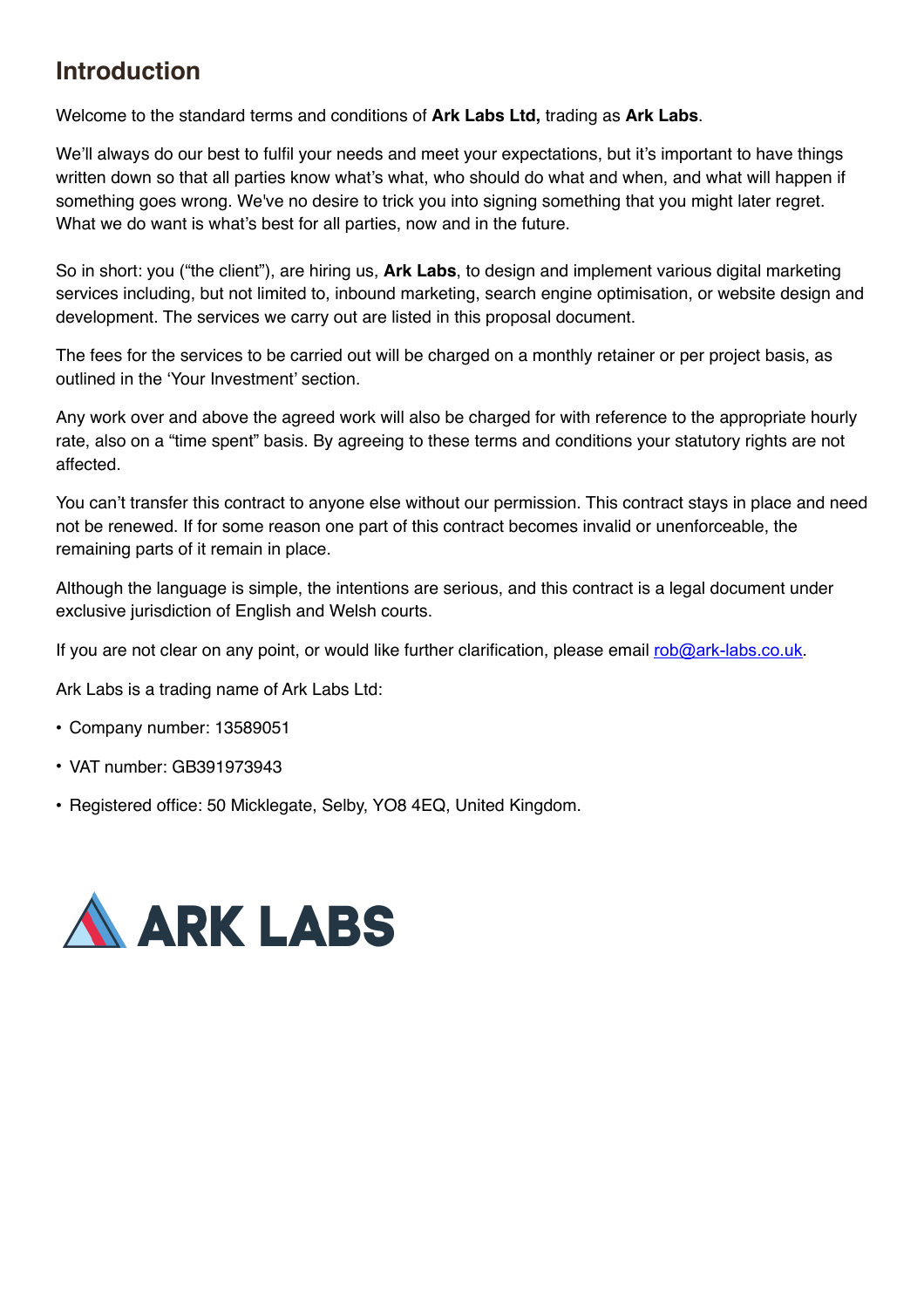# **Introduction**

Welcome to the standard terms and conditions of **Ark Labs Ltd,** trading as **Ark Labs**.

We'll always do our best to fulfil your needs and meet your expectations, but it's important to have things written down so that all parties know what's what, who should do what and when, and what will happen if something goes wrong. We've no desire to trick you into signing something that you might later regret. What we do want is what's best for all parties, now and in the future.

So in short: you ("the client"), are hiring us, **Ark Labs**, to design and implement various digital marketing services including, but not limited to, inbound marketing, search engine optimisation, or website design and development. The services we carry out are listed in this proposal document.

The fees for the services to be carried out will be charged on a monthly retainer or per project basis, as outlined in the 'Your Investment' section.

Any work over and above the agreed work will also be charged for with reference to the appropriate hourly rate, also on a "time spent" basis. By agreeing to these terms and conditions your statutory rights are not affected.

You can't transfer this contract to anyone else without our permission. This contract stays in place and need not be renewed. If for some reason one part of this contract becomes invalid or unenforceable, the remaining parts of it remain in place.

Although the language is simple, the intentions are serious, and this contract is a legal document under exclusive jurisdiction of English and Welsh courts.

If you are not clear on any point, or would like further clarification, please email [rob@ark-labs.co.uk](mailto:rob@ark-labs.co.uk).

Ark Labs is a trading name of Ark Labs Ltd:

- Company number: 13589051
- VAT number: GB391973943
- Registered office: 50 Micklegate, Selby, YO8 4EQ, United Kingdom.

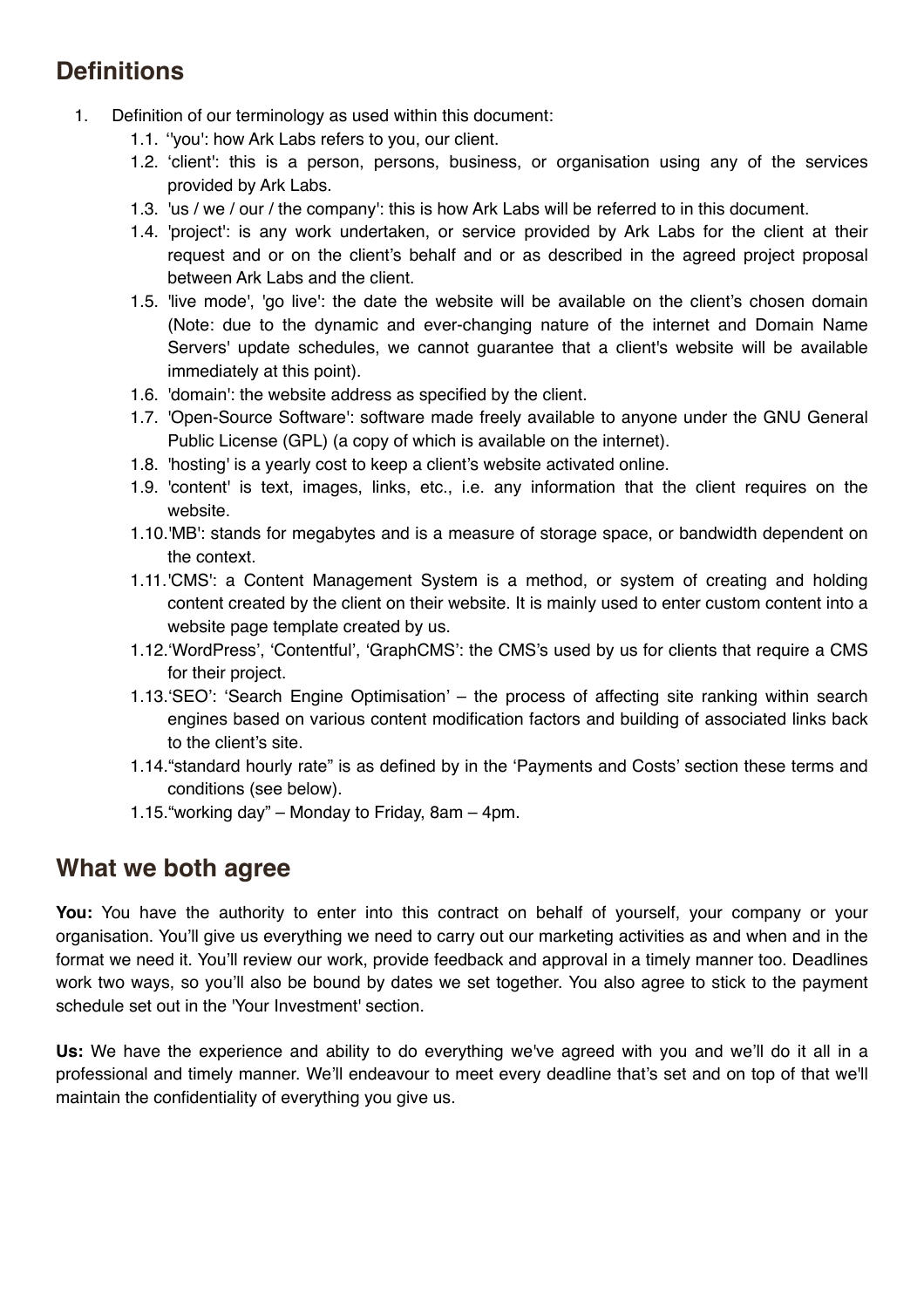# **Definitions**

- 1. Definition of our terminology as used within this document:
	- 1.1. ''you': how Ark Labs refers to you, our client.
	- 1.2. 'client': this is a person, persons, business, or organisation using any of the services provided by Ark Labs.
	- 1.3. 'us / we / our / the company': this is how Ark Labs will be referred to in this document.
	- 1.4. 'project': is any work undertaken, or service provided by Ark Labs for the client at their request and or on the client's behalf and or as described in the agreed project proposal between Ark Labs and the client.
	- 1.5. 'live mode', 'go live': the date the website will be available on the client's chosen domain (Note: due to the dynamic and ever-changing nature of the internet and Domain Name Servers' update schedules, we cannot guarantee that a client's website will be available immediately at this point).
	- 1.6. 'domain': the website address as specified by the client.
	- 1.7. 'Open-Source Software': software made freely available to anyone under the GNU General Public License (GPL) (a copy of which is available on the internet).
	- 1.8. 'hosting' is a yearly cost to keep a client's website activated online.
	- 1.9. 'content' is text, images, links, etc., i.e. any information that the client requires on the website.
	- 1.10.'MB': stands for megabytes and is a measure of storage space, or bandwidth dependent on the context.
	- 1.11.'CMS': a Content Management System is a method, or system of creating and holding content created by the client on their website. It is mainly used to enter custom content into a website page template created by us.
	- 1.12.'WordPress', 'Contentful', 'GraphCMS': the CMS's used by us for clients that require a CMS for their project.
	- 1.13.'SEO': 'Search Engine Optimisation' the process of affecting site ranking within search engines based on various content modification factors and building of associated links back to the client's site.
	- 1.14."standard hourly rate" is as defined by in the 'Payments and Costs' section these terms and conditions (see below).
	- 1.15."working day" Monday to Friday, 8am 4pm.

# **What we both agree**

**You:** You have the authority to enter into this contract on behalf of yourself, your company or your organisation. You'll give us everything we need to carry out our marketing activities as and when and in the format we need it. You'll review our work, provide feedback and approval in a timely manner too. Deadlines work two ways, so you'll also be bound by dates we set together. You also agree to stick to the payment schedule set out in the 'Your Investment' section.

Us: We have the experience and ability to do everything we've agreed with you and we'll do it all in a professional and timely manner. We'll endeavour to meet every deadline that's set and on top of that we'll maintain the confidentiality of everything you give us.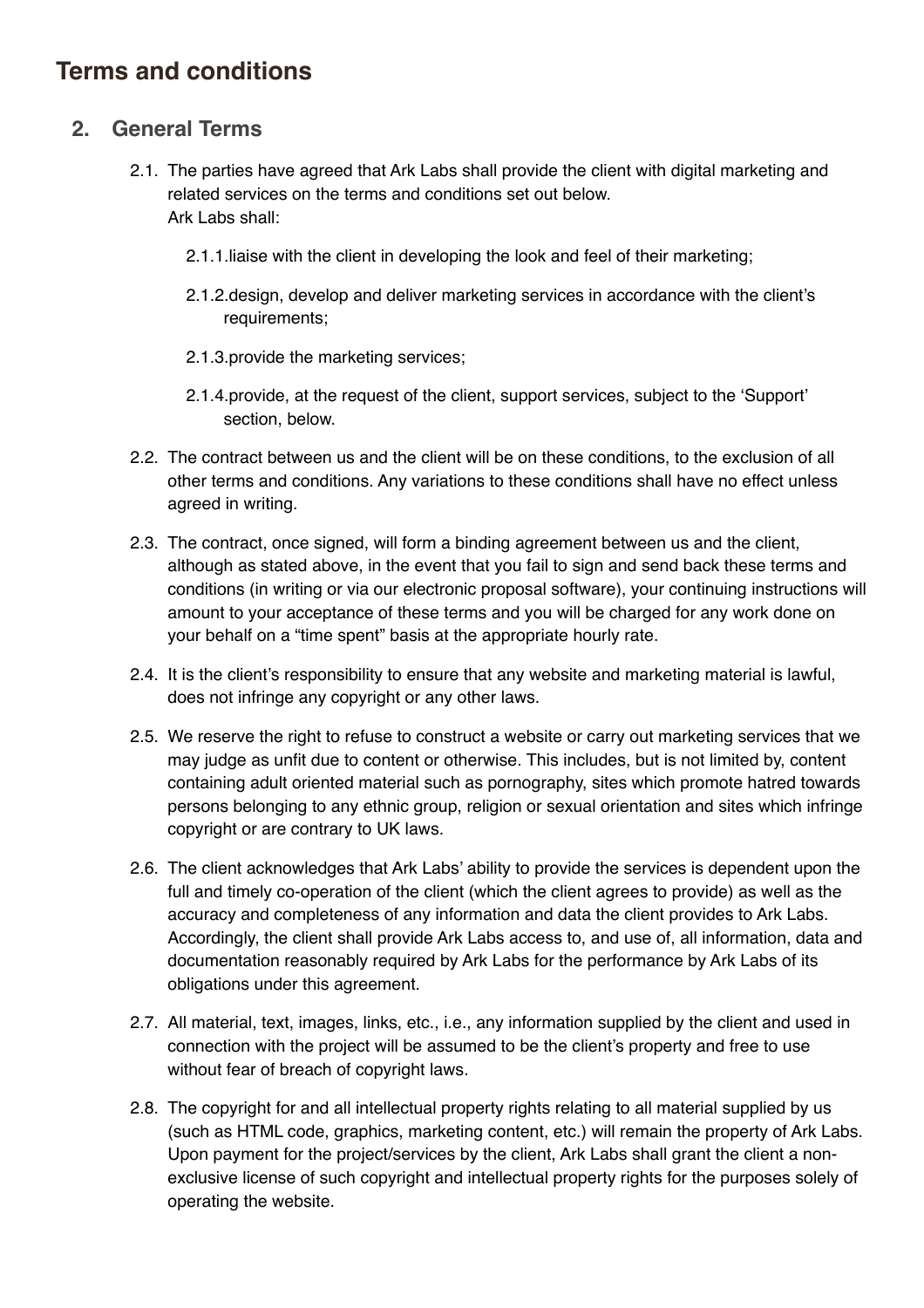# **Terms and conditions**

### **2. General Terms**

- 2.1. The parties have agreed that Ark Labs shall provide the client with digital marketing and related services on the terms and conditions set out below. Ark Labs shall:
	- 2.1.1.liaise with the client in developing the look and feel of their marketing;
	- 2.1.2.design, develop and deliver marketing services in accordance with the client's requirements;
	- 2.1.3.provide the marketing services;
	- 2.1.4.provide, at the request of the client, support services, subject to the 'Support' section, below.
- 2.2. The contract between us and the client will be on these conditions, to the exclusion of all other terms and conditions. Any variations to these conditions shall have no effect unless agreed in writing.
- 2.3. The contract, once signed, will form a binding agreement between us and the client, although as stated above, in the event that you fail to sign and send back these terms and conditions (in writing or via our electronic proposal software), your continuing instructions will amount to your acceptance of these terms and you will be charged for any work done on your behalf on a "time spent" basis at the appropriate hourly rate.
- 2.4. It is the client's responsibility to ensure that any website and marketing material is lawful, does not infringe any copyright or any other laws.
- 2.5. We reserve the right to refuse to construct a website or carry out marketing services that we may judge as unfit due to content or otherwise. This includes, but is not limited by, content containing adult oriented material such as pornography, sites which promote hatred towards persons belonging to any ethnic group, religion or sexual orientation and sites which infringe copyright or are contrary to UK laws.
- 2.6. The client acknowledges that Ark Labs' ability to provide the services is dependent upon the full and timely co-operation of the client (which the client agrees to provide) as well as the accuracy and completeness of any information and data the client provides to Ark Labs. Accordingly, the client shall provide Ark Labs access to, and use of, all information, data and documentation reasonably required by Ark Labs for the performance by Ark Labs of its obligations under this agreement.
- 2.7. All material, text, images, links, etc., i.e., any information supplied by the client and used in connection with the project will be assumed to be the client's property and free to use without fear of breach of copyright laws.
- 2.8. The copyright for and all intellectual property rights relating to all material supplied by us (such as HTML code, graphics, marketing content, etc.) will remain the property of Ark Labs. Upon payment for the project/services by the client, Ark Labs shall grant the client a nonexclusive license of such copyright and intellectual property rights for the purposes solely of operating the website.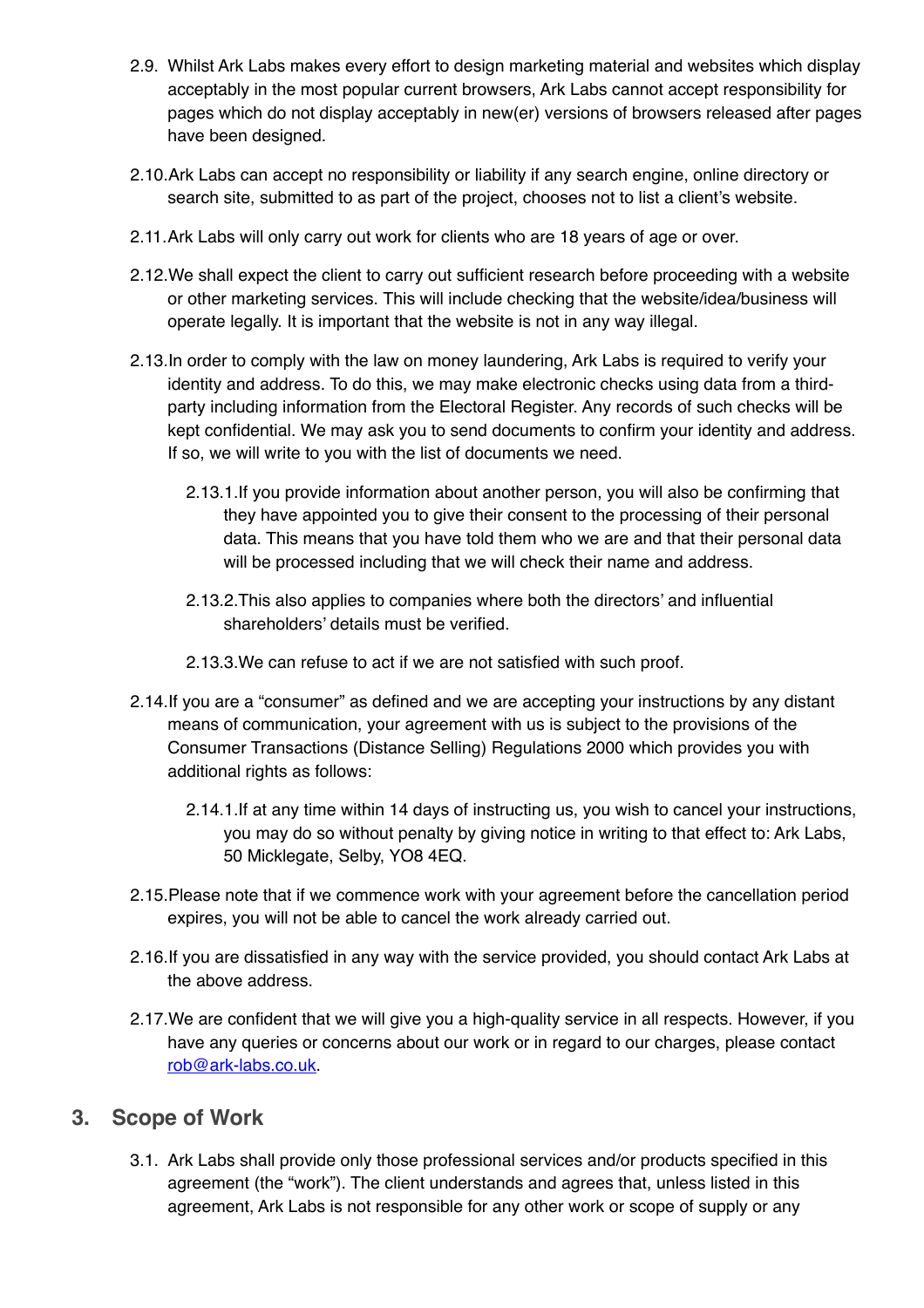- 2.9. Whilst Ark Labs makes every effort to design marketing material and websites which display acceptably in the most popular current browsers, Ark Labs cannot accept responsibility for pages which do not display acceptably in new(er) versions of browsers released after pages have been designed.
- 2.10.Ark Labs can accept no responsibility or liability if any search engine, online directory or search site, submitted to as part of the project, chooses not to list a client's website.
- 2.11.Ark Labs will only carry out work for clients who are 18 years of age or over.
- 2.12.We shall expect the client to carry out sufficient research before proceeding with a website or other marketing services. This will include checking that the website/idea/business will operate legally. It is important that the website is not in any way illegal.
- 2.13.In order to comply with the law on money laundering, Ark Labs is required to verify your identity and address. To do this, we may make electronic checks using data from a thirdparty including information from the Electoral Register. Any records of such checks will be kept confidential. We may ask you to send documents to confirm your identity and address. If so, we will write to you with the list of documents we need.
	- 2.13.1.If you provide information about another person, you will also be confirming that they have appointed you to give their consent to the processing of their personal data. This means that you have told them who we are and that their personal data will be processed including that we will check their name and address.
	- 2.13.2.This also applies to companies where both the directors' and influential shareholders' details must be verified.
	- 2.13.3.We can refuse to act if we are not satisfied with such proof.
- 2.14.If you are a "consumer" as defined and we are accepting your instructions by any distant means of communication, your agreement with us is subject to the provisions of the Consumer Transactions (Distance Selling) Regulations 2000 which provides you with additional rights as follows:
	- 2.14.1.If at any time within 14 days of instructing us, you wish to cancel your instructions, you may do so without penalty by giving notice in writing to that effect to: Ark Labs, 50 Micklegate, Selby, YO8 4EQ.
- 2.15.Please note that if we commence work with your agreement before the cancellation period expires, you will not be able to cancel the work already carried out.
- 2.16.If you are dissatisfied in any way with the service provided, you should contact Ark Labs at the above address.
- 2.17.We are confident that we will give you a high-quality service in all respects. However, if you have any queries or concerns about our work or in regard to our charges, please contact [rob@ark-labs.co.uk.](mailto:rob@ark-labs.co.uk)

#### **3. Scope of Work**

3.1. Ark Labs shall provide only those professional services and/or products specified in this agreement (the "work"). The client understands and agrees that, unless listed in this agreement, Ark Labs is not responsible for any other work or scope of supply or any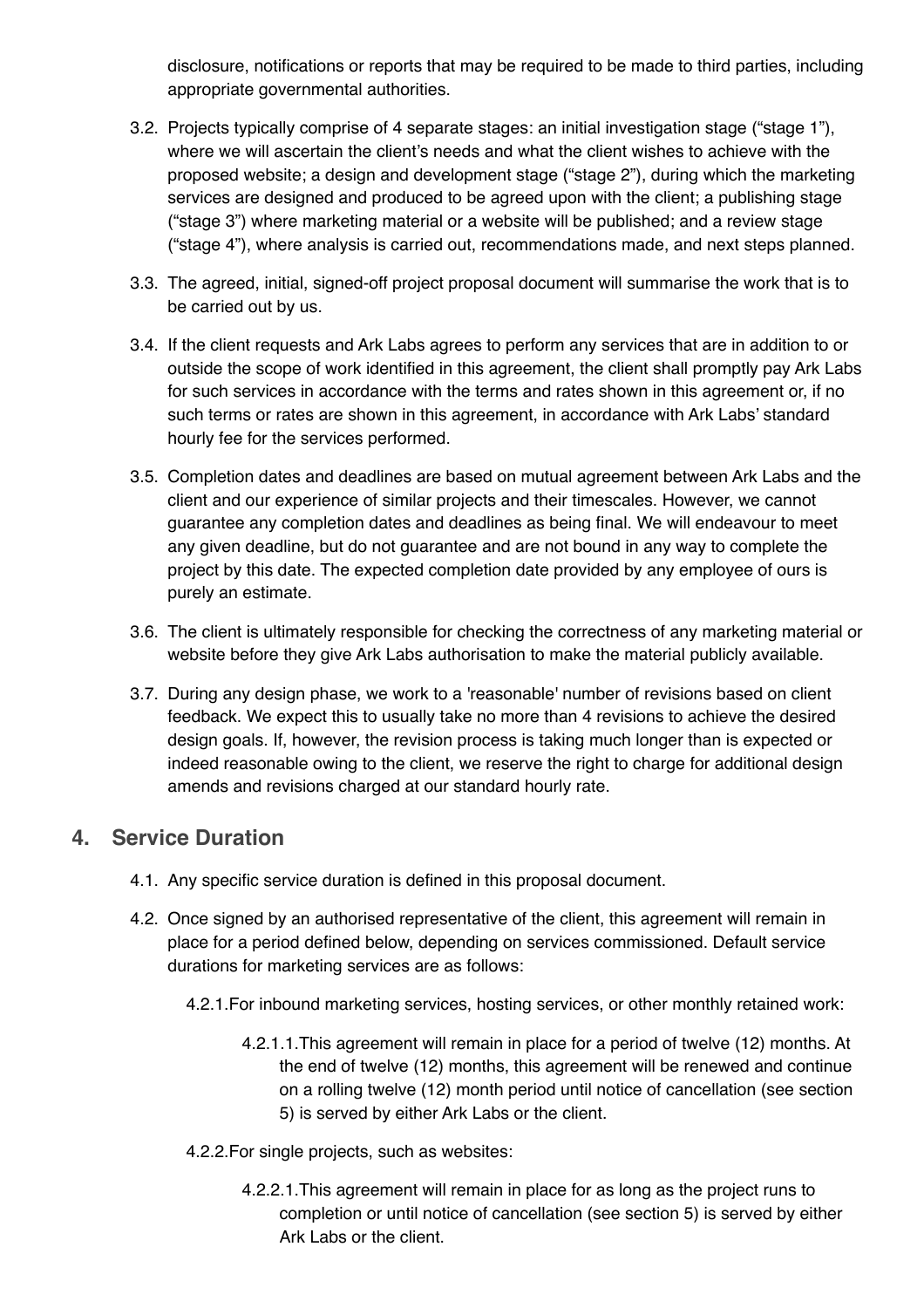disclosure, notifications or reports that may be required to be made to third parties, including appropriate governmental authorities.

- 3.2. Projects typically comprise of 4 separate stages: an initial investigation stage ("stage 1"), where we will ascertain the client's needs and what the client wishes to achieve with the proposed website; a design and development stage ("stage 2"), during which the marketing services are designed and produced to be agreed upon with the client; a publishing stage ("stage 3") where marketing material or a website will be published; and a review stage ("stage 4"), where analysis is carried out, recommendations made, and next steps planned.
- 3.3. The agreed, initial, signed-off project proposal document will summarise the work that is to be carried out by us.
- 3.4. If the client requests and Ark Labs agrees to perform any services that are in addition to or outside the scope of work identified in this agreement, the client shall promptly pay Ark Labs for such services in accordance with the terms and rates shown in this agreement or, if no such terms or rates are shown in this agreement, in accordance with Ark Labs' standard hourly fee for the services performed.
- 3.5. Completion dates and deadlines are based on mutual agreement between Ark Labs and the client and our experience of similar projects and their timescales. However, we cannot guarantee any completion dates and deadlines as being final. We will endeavour to meet any given deadline, but do not guarantee and are not bound in any way to complete the project by this date. The expected completion date provided by any employee of ours is purely an estimate.
- 3.6. The client is ultimately responsible for checking the correctness of any marketing material or website before they give Ark Labs authorisation to make the material publicly available.
- 3.7. During any design phase, we work to a 'reasonable' number of revisions based on client feedback. We expect this to usually take no more than 4 revisions to achieve the desired design goals. If, however, the revision process is taking much longer than is expected or indeed reasonable owing to the client, we reserve the right to charge for additional design amends and revisions charged at our standard hourly rate.

#### **4. Service Duration**

- 4.1. Any specific service duration is defined in this proposal document.
- 4.2. Once signed by an authorised representative of the client, this agreement will remain in place for a period defined below, depending on services commissioned. Default service durations for marketing services are as follows:
	- 4.2.1.For inbound marketing services, hosting services, or other monthly retained work:
		- 4.2.1.1.This agreement will remain in place for a period of twelve (12) months. At the end of twelve (12) months, this agreement will be renewed and continue on a rolling twelve (12) month period until notice of cancellation (see section 5) is served by either Ark Labs or the client.
	- 4.2.2.For single projects, such as websites:
		- 4.2.2.1.This agreement will remain in place for as long as the project runs to completion or until notice of cancellation (see section 5) is served by either Ark Labs or the client.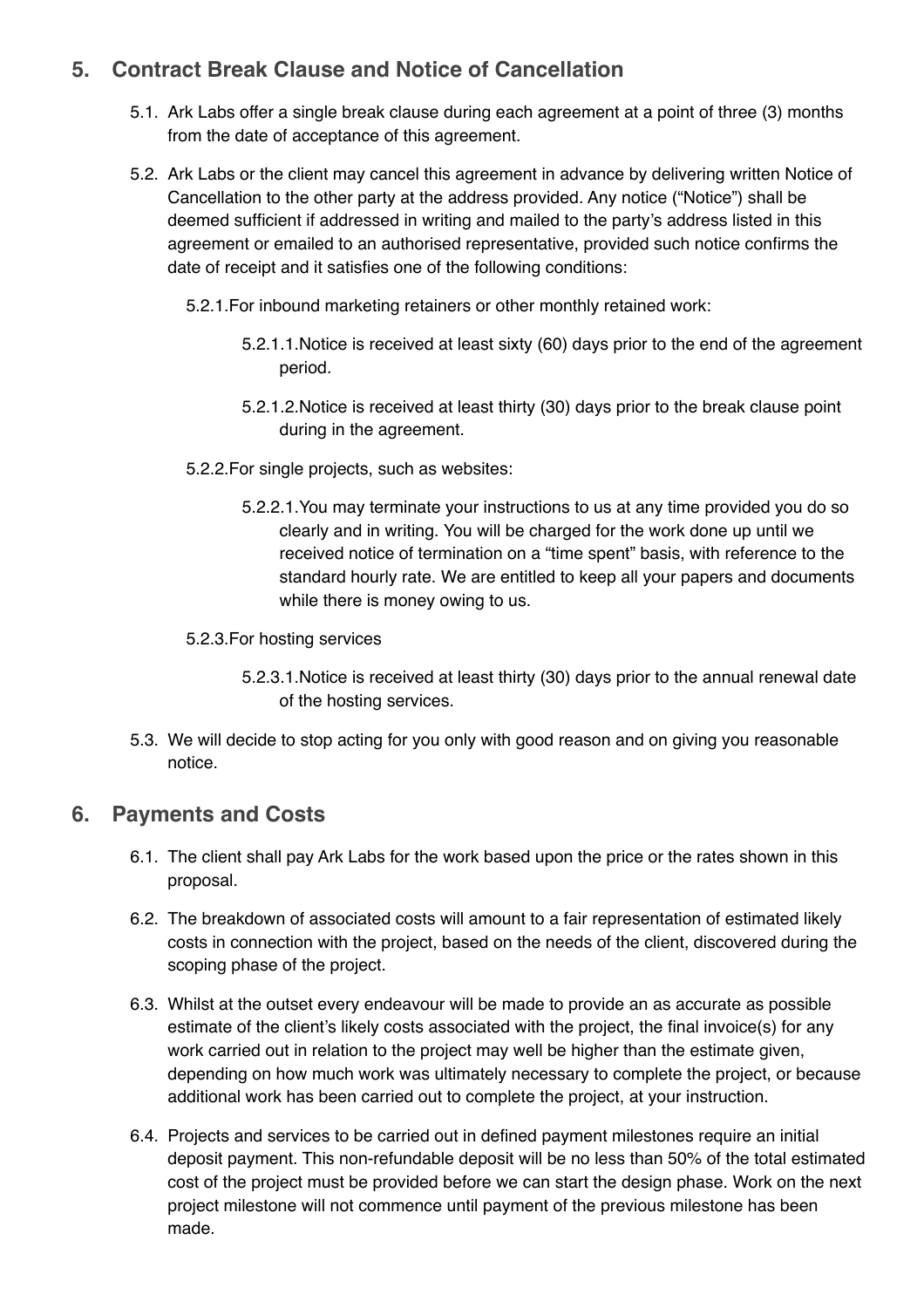## **5. Contract Break Clause and Notice of Cancellation**

- 5.1. Ark Labs offer a single break clause during each agreement at a point of three (3) months from the date of acceptance of this agreement.
- 5.2. Ark Labs or the client may cancel this agreement in advance by delivering written Notice of Cancellation to the other party at the address provided. Any notice ("Notice") shall be deemed sufficient if addressed in writing and mailed to the party's address listed in this agreement or emailed to an authorised representative, provided such notice confirms the date of receipt and it satisfies one of the following conditions:
	- 5.2.1.For inbound marketing retainers or other monthly retained work:
		- 5.2.1.1.Notice is received at least sixty (60) days prior to the end of the agreement period.
		- 5.2.1.2.Notice is received at least thirty (30) days prior to the break clause point during in the agreement.
	- 5.2.2.For single projects, such as websites:
		- 5.2.2.1.You may terminate your instructions to us at any time provided you do so clearly and in writing. You will be charged for the work done up until we received notice of termination on a "time spent" basis, with reference to the standard hourly rate. We are entitled to keep all your papers and documents while there is money owing to us.
	- 5.2.3.For hosting services
		- 5.2.3.1.Notice is received at least thirty (30) days prior to the annual renewal date of the hosting services.
- 5.3. We will decide to stop acting for you only with good reason and on giving you reasonable notice.

#### **6. Payments and Costs**

- 6.1. The client shall pay Ark Labs for the work based upon the price or the rates shown in this proposal.
- 6.2. The breakdown of associated costs will amount to a fair representation of estimated likely costs in connection with the project, based on the needs of the client, discovered during the scoping phase of the project.
- 6.3. Whilst at the outset every endeavour will be made to provide an as accurate as possible estimate of the client's likely costs associated with the project, the final invoice(s) for any work carried out in relation to the project may well be higher than the estimate given, depending on how much work was ultimately necessary to complete the project, or because additional work has been carried out to complete the project, at your instruction.
- 6.4. Projects and services to be carried out in defined payment milestones require an initial deposit payment. This non-refundable deposit will be no less than 50% of the total estimated cost of the project must be provided before we can start the design phase. Work on the next project milestone will not commence until payment of the previous milestone has been made.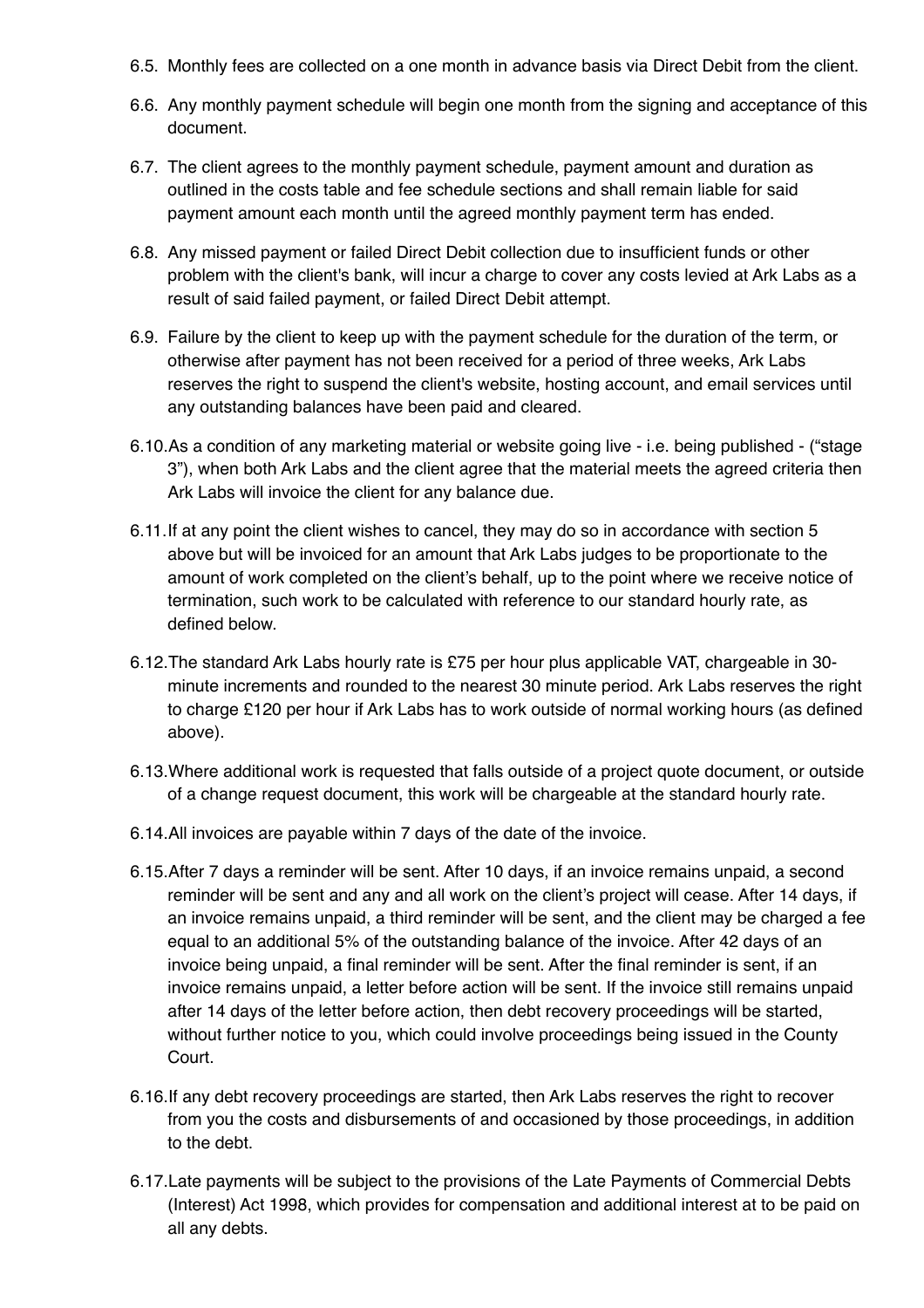- 6.5. Monthly fees are collected on a one month in advance basis via Direct Debit from the client.
- 6.6. Any monthly payment schedule will begin one month from the signing and acceptance of this document.
- 6.7. The client agrees to the monthly payment schedule, payment amount and duration as outlined in the costs table and fee schedule sections and shall remain liable for said payment amount each month until the agreed monthly payment term has ended.
- 6.8. Any missed payment or failed Direct Debit collection due to insufficient funds or other problem with the client's bank, will incur a charge to cover any costs levied at Ark Labs as a result of said failed payment, or failed Direct Debit attempt.
- 6.9. Failure by the client to keep up with the payment schedule for the duration of the term, or otherwise after payment has not been received for a period of three weeks, Ark Labs reserves the right to suspend the client's website, hosting account, and email services until any outstanding balances have been paid and cleared.
- 6.10.As a condition of any marketing material or website going live i.e. being published ("stage 3"), when both Ark Labs and the client agree that the material meets the agreed criteria then Ark Labs will invoice the client for any balance due.
- 6.11.If at any point the client wishes to cancel, they may do so in accordance with section 5 above but will be invoiced for an amount that Ark Labs judges to be proportionate to the amount of work completed on the client's behalf, up to the point where we receive notice of termination, such work to be calculated with reference to our standard hourly rate, as defined below.
- 6.12.The standard Ark Labs hourly rate is £75 per hour plus applicable VAT, chargeable in 30 minute increments and rounded to the nearest 30 minute period. Ark Labs reserves the right to charge £120 per hour if Ark Labs has to work outside of normal working hours (as defined above).
- 6.13.Where additional work is requested that falls outside of a project quote document, or outside of a change request document, this work will be chargeable at the standard hourly rate.
- 6.14.All invoices are payable within 7 days of the date of the invoice.
- 6.15.After 7 days a reminder will be sent. After 10 days, if an invoice remains unpaid, a second reminder will be sent and any and all work on the client's project will cease. After 14 days, if an invoice remains unpaid, a third reminder will be sent, and the client may be charged a fee equal to an additional 5% of the outstanding balance of the invoice. After 42 days of an invoice being unpaid, a final reminder will be sent. After the final reminder is sent, if an invoice remains unpaid, a letter before action will be sent. If the invoice still remains unpaid after 14 days of the letter before action, then debt recovery proceedings will be started, without further notice to you, which could involve proceedings being issued in the County Court.
- 6.16.If any debt recovery proceedings are started, then Ark Labs reserves the right to recover from you the costs and disbursements of and occasioned by those proceedings, in addition to the debt.
- 6.17.Late payments will be subject to the provisions of the Late Payments of Commercial Debts (Interest) Act 1998, which provides for compensation and additional interest at to be paid on all any debts.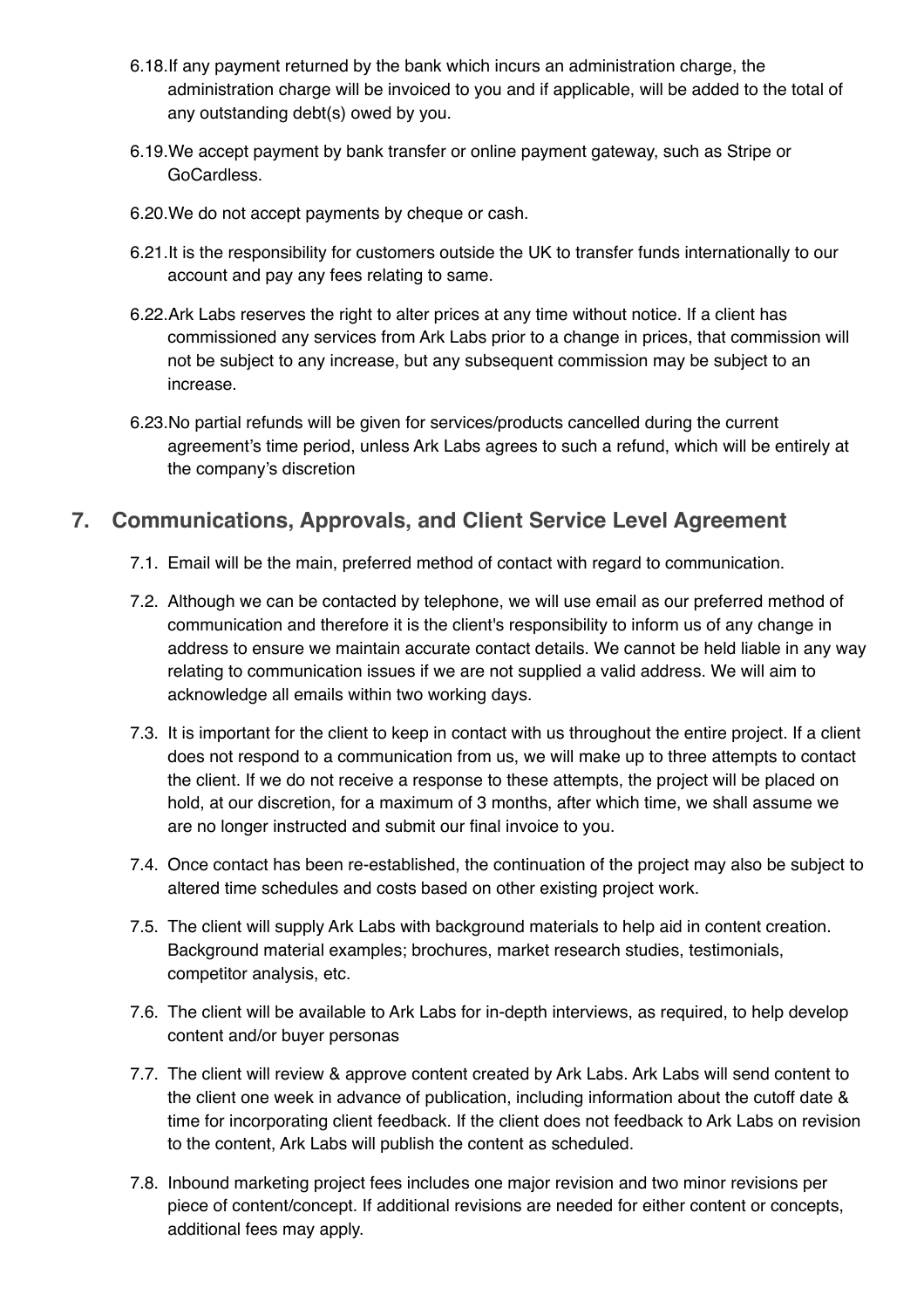- 6.18.If any payment returned by the bank which incurs an administration charge, the administration charge will be invoiced to you and if applicable, will be added to the total of any outstanding debt(s) owed by you.
- 6.19.We accept payment by bank transfer or online payment gateway, such as Stripe or GoCardless.
- 6.20.We do not accept payments by cheque or cash.
- 6.21.It is the responsibility for customers outside the UK to transfer funds internationally to our account and pay any fees relating to same.
- 6.22.Ark Labs reserves the right to alter prices at any time without notice. If a client has commissioned any services from Ark Labs prior to a change in prices, that commission will not be subject to any increase, but any subsequent commission may be subject to an increase.
- 6.23.No partial refunds will be given for services/products cancelled during the current agreement's time period, unless Ark Labs agrees to such a refund, which will be entirely at the company's discretion

## **7. Communications, Approvals, and Client Service Level Agreement**

- 7.1. Email will be the main, preferred method of contact with regard to communication.
- 7.2. Although we can be contacted by telephone, we will use email as our preferred method of communication and therefore it is the client's responsibility to inform us of any change in address to ensure we maintain accurate contact details. We cannot be held liable in any way relating to communication issues if we are not supplied a valid address. We will aim to acknowledge all emails within two working days.
- 7.3. It is important for the client to keep in contact with us throughout the entire project. If a client does not respond to a communication from us, we will make up to three attempts to contact the client. If we do not receive a response to these attempts, the project will be placed on hold, at our discretion, for a maximum of 3 months, after which time, we shall assume we are no longer instructed and submit our final invoice to you.
- 7.4. Once contact has been re-established, the continuation of the project may also be subject to altered time schedules and costs based on other existing project work.
- 7.5. The client will supply Ark Labs with background materials to help aid in content creation. Background material examples; brochures, market research studies, testimonials, competitor analysis, etc.
- 7.6. The client will be available to Ark Labs for in-depth interviews, as required, to help develop content and/or buyer personas
- 7.7. The client will review & approve content created by Ark Labs. Ark Labs will send content to the client one week in advance of publication, including information about the cutoff date & time for incorporating client feedback. If the client does not feedback to Ark Labs on revision to the content, Ark Labs will publish the content as scheduled.
- 7.8. Inbound marketing project fees includes one major revision and two minor revisions per piece of content/concept. If additional revisions are needed for either content or concepts, additional fees may apply.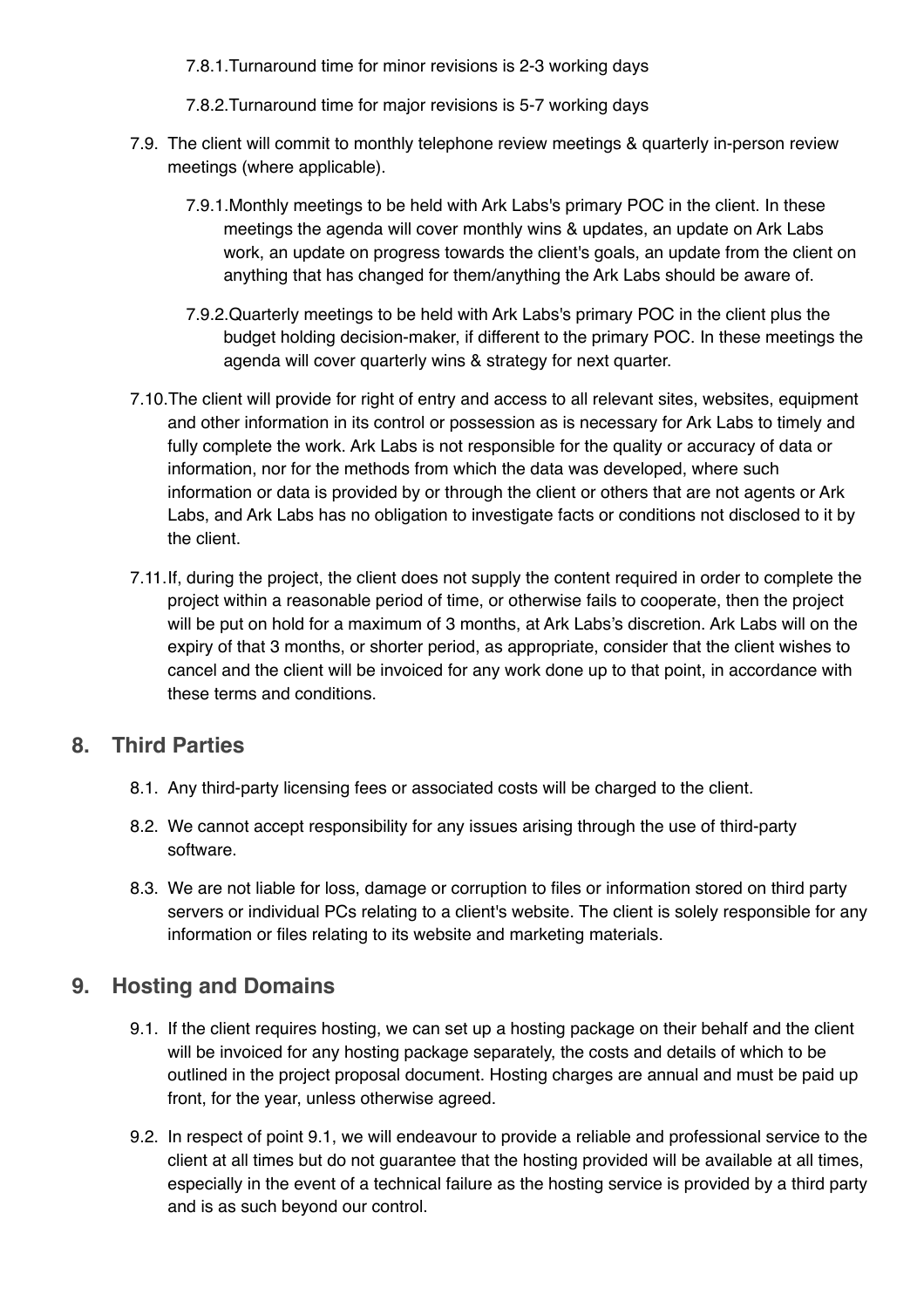7.8.1.Turnaround time for minor revisions is 2-3 working days

7.8.2.Turnaround time for major revisions is 5-7 working days

- 7.9. The client will commit to monthly telephone review meetings & quarterly in-person review meetings (where applicable).
	- 7.9.1.Monthly meetings to be held with Ark Labs's primary POC in the client. In these meetings the agenda will cover monthly wins & updates, an update on Ark Labs work, an update on progress towards the client's goals, an update from the client on anything that has changed for them/anything the Ark Labs should be aware of.
	- 7.9.2.Quarterly meetings to be held with Ark Labs's primary POC in the client plus the budget holding decision-maker, if different to the primary POC. In these meetings the agenda will cover quarterly wins & strategy for next quarter.
- 7.10.The client will provide for right of entry and access to all relevant sites, websites, equipment and other information in its control or possession as is necessary for Ark Labs to timely and fully complete the work. Ark Labs is not responsible for the quality or accuracy of data or information, nor for the methods from which the data was developed, where such information or data is provided by or through the client or others that are not agents or Ark Labs, and Ark Labs has no obligation to investigate facts or conditions not disclosed to it by the client.
- 7.11.If, during the project, the client does not supply the content required in order to complete the project within a reasonable period of time, or otherwise fails to cooperate, then the project will be put on hold for a maximum of 3 months, at Ark Labs's discretion. Ark Labs will on the expiry of that 3 months, or shorter period, as appropriate, consider that the client wishes to cancel and the client will be invoiced for any work done up to that point, in accordance with these terms and conditions.

#### **8. Third Parties**

- 8.1. Any third-party licensing fees or associated costs will be charged to the client.
- 8.2. We cannot accept responsibility for any issues arising through the use of third-party software.
- 8.3. We are not liable for loss, damage or corruption to files or information stored on third party servers or individual PCs relating to a client's website. The client is solely responsible for any information or files relating to its website and marketing materials.

#### **9. Hosting and Domains**

- 9.1. If the client requires hosting, we can set up a hosting package on their behalf and the client will be invoiced for any hosting package separately, the costs and details of which to be outlined in the project proposal document. Hosting charges are annual and must be paid up front, for the year, unless otherwise agreed.
- 9.2. In respect of point 9.1, we will endeavour to provide a reliable and professional service to the client at all times but do not guarantee that the hosting provided will be available at all times, especially in the event of a technical failure as the hosting service is provided by a third party and is as such beyond our control.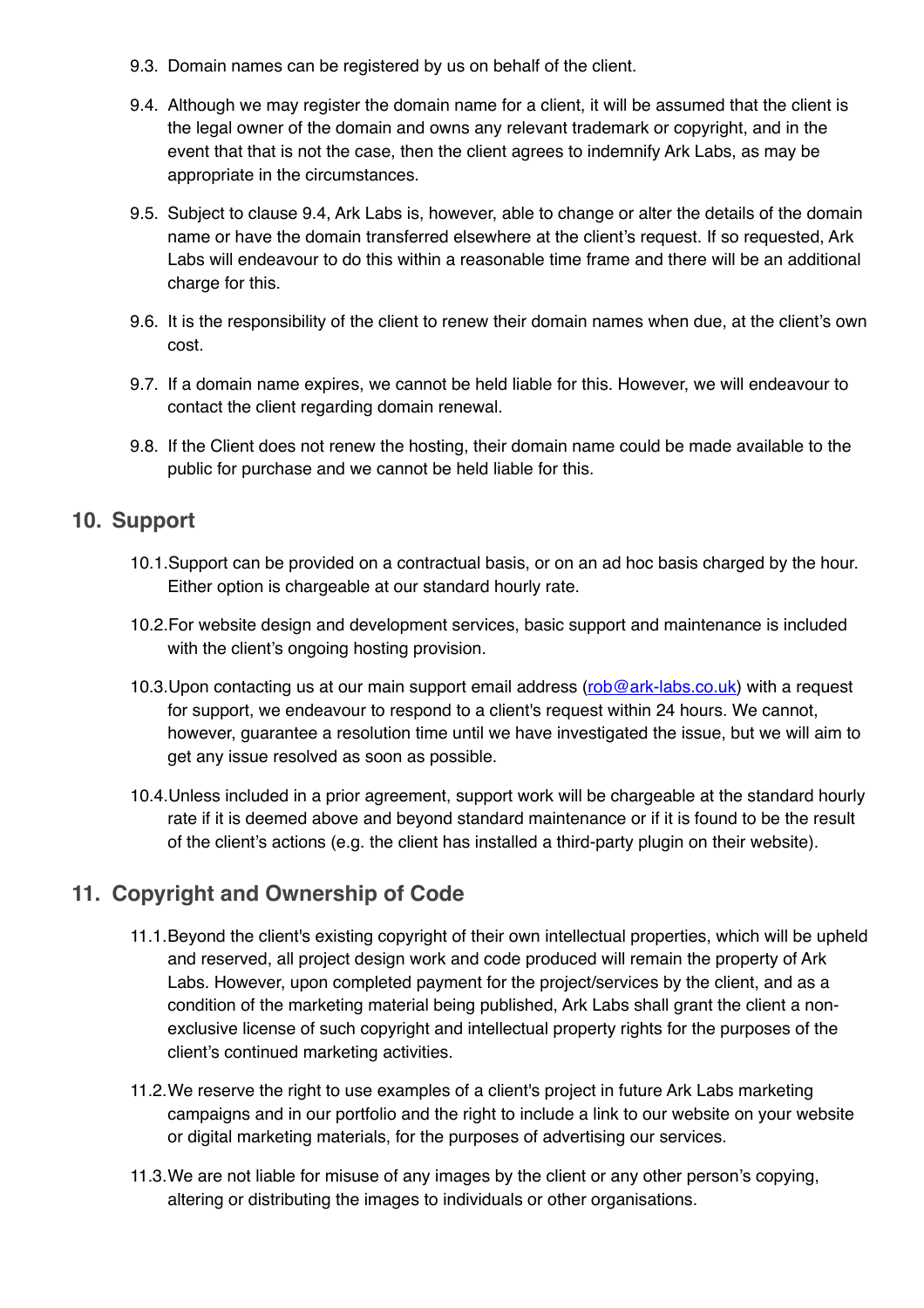- 9.3. Domain names can be registered by us on behalf of the client.
- 9.4. Although we may register the domain name for a client, it will be assumed that the client is the legal owner of the domain and owns any relevant trademark or copyright, and in the event that that is not the case, then the client agrees to indemnify Ark Labs, as may be appropriate in the circumstances.
- 9.5. Subject to clause 9.4, Ark Labs is, however, able to change or alter the details of the domain name or have the domain transferred elsewhere at the client's request. If so requested, Ark Labs will endeavour to do this within a reasonable time frame and there will be an additional charge for this.
- 9.6. It is the responsibility of the client to renew their domain names when due, at the client's own cost.
- 9.7. If a domain name expires, we cannot be held liable for this. However, we will endeavour to contact the client regarding domain renewal.
- 9.8. If the Client does not renew the hosting, their domain name could be made available to the public for purchase and we cannot be held liable for this.

#### **10. Support**

- 10.1.Support can be provided on a contractual basis, or on an ad hoc basis charged by the hour. Either option is chargeable at our standard hourly rate.
- 10.2.For website design and development services, basic support and maintenance is included with the client's ongoing hosting provision.
- 10.3. Upon contacting us at our main support email address ([rob@ark-labs.co.uk](mailto:rob@ark-labs.co.uk)) with a request for support, we endeavour to respond to a client's request within 24 hours. We cannot, however, guarantee a resolution time until we have investigated the issue, but we will aim to get any issue resolved as soon as possible.
- 10.4.Unless included in a prior agreement, support work will be chargeable at the standard hourly rate if it is deemed above and beyond standard maintenance or if it is found to be the result of the client's actions (e.g. the client has installed a third-party plugin on their website).

## **11. Copyright and Ownership of Code**

- 11.1.Beyond the client's existing copyright of their own intellectual properties, which will be upheld and reserved, all project design work and code produced will remain the property of Ark Labs. However, upon completed payment for the project/services by the client, and as a condition of the marketing material being published, Ark Labs shall grant the client a nonexclusive license of such copyright and intellectual property rights for the purposes of the client's continued marketing activities.
- 11.2.We reserve the right to use examples of a client's project in future Ark Labs marketing campaigns and in our portfolio and the right to include a link to our website on your website or digital marketing materials, for the purposes of advertising our services.
- 11.3.We are not liable for misuse of any images by the client or any other person's copying, altering or distributing the images to individuals or other organisations.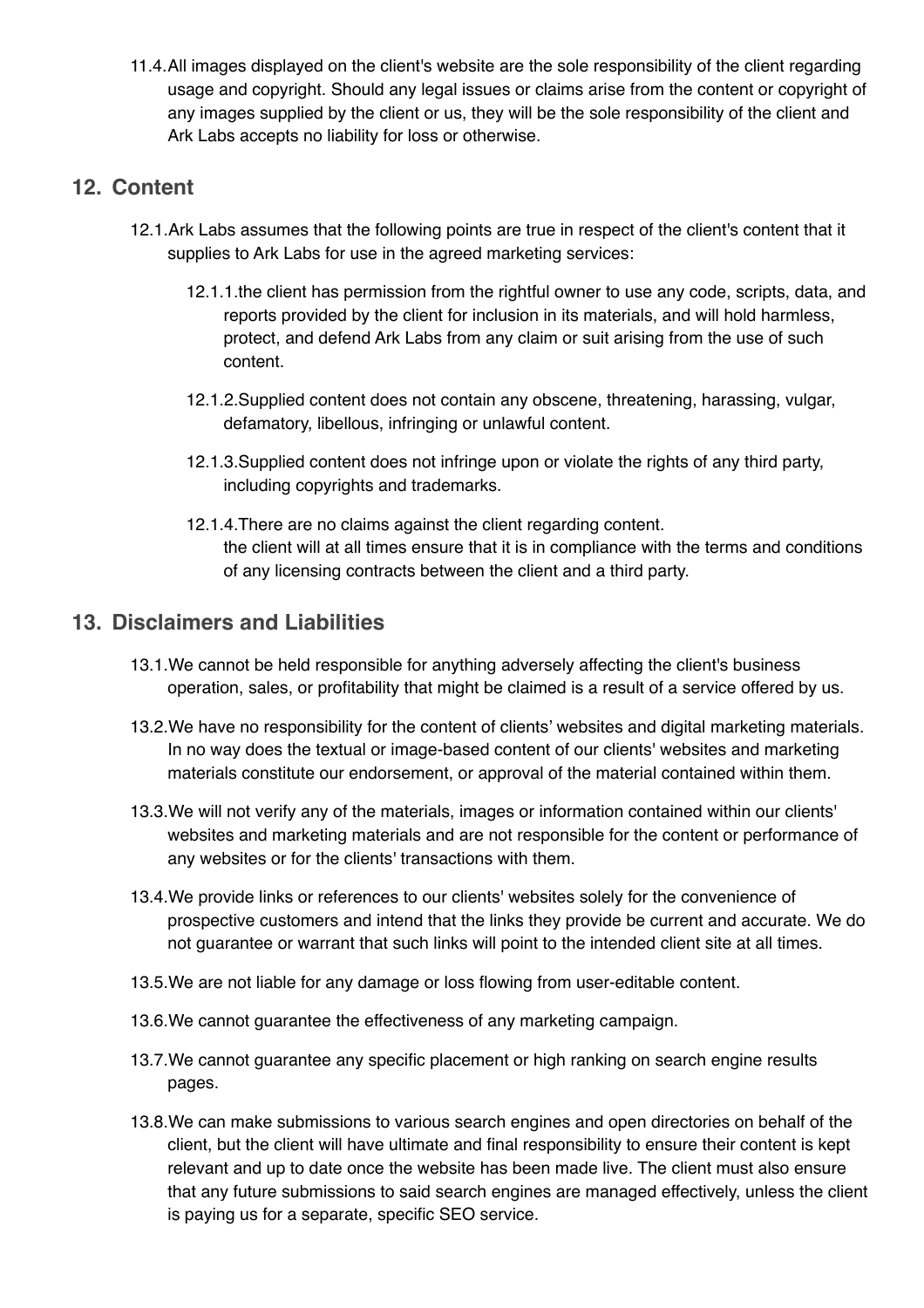11.4.All images displayed on the client's website are the sole responsibility of the client regarding usage and copyright. Should any legal issues or claims arise from the content or copyright of any images supplied by the client or us, they will be the sole responsibility of the client and Ark Labs accepts no liability for loss or otherwise.

#### **12. Content**

- 12.1.Ark Labs assumes that the following points are true in respect of the client's content that it supplies to Ark Labs for use in the agreed marketing services:
	- 12.1.1.the client has permission from the rightful owner to use any code, scripts, data, and reports provided by the client for inclusion in its materials, and will hold harmless, protect, and defend Ark Labs from any claim or suit arising from the use of such content.
	- 12.1.2.Supplied content does not contain any obscene, threatening, harassing, vulgar, defamatory, libellous, infringing or unlawful content.
	- 12.1.3.Supplied content does not infringe upon or violate the rights of any third party, including copyrights and trademarks.
	- 12.1.4.There are no claims against the client regarding content. the client will at all times ensure that it is in compliance with the terms and conditions of any licensing contracts between the client and a third party.

#### **13. Disclaimers and Liabilities**

- 13.1.We cannot be held responsible for anything adversely affecting the client's business operation, sales, or profitability that might be claimed is a result of a service offered by us.
- 13.2.We have no responsibility for the content of clients' websites and digital marketing materials. In no way does the textual or image-based content of our clients' websites and marketing materials constitute our endorsement, or approval of the material contained within them.
- 13.3.We will not verify any of the materials, images or information contained within our clients' websites and marketing materials and are not responsible for the content or performance of any websites or for the clients' transactions with them.
- 13.4.We provide links or references to our clients' websites solely for the convenience of prospective customers and intend that the links they provide be current and accurate. We do not guarantee or warrant that such links will point to the intended client site at all times.
- 13.5.We are not liable for any damage or loss flowing from user-editable content.
- 13.6.We cannot guarantee the effectiveness of any marketing campaign.
- 13.7.We cannot guarantee any specific placement or high ranking on search engine results pages.
- 13.8.We can make submissions to various search engines and open directories on behalf of the client, but the client will have ultimate and final responsibility to ensure their content is kept relevant and up to date once the website has been made live. The client must also ensure that any future submissions to said search engines are managed effectively, unless the client is paying us for a separate, specific SEO service.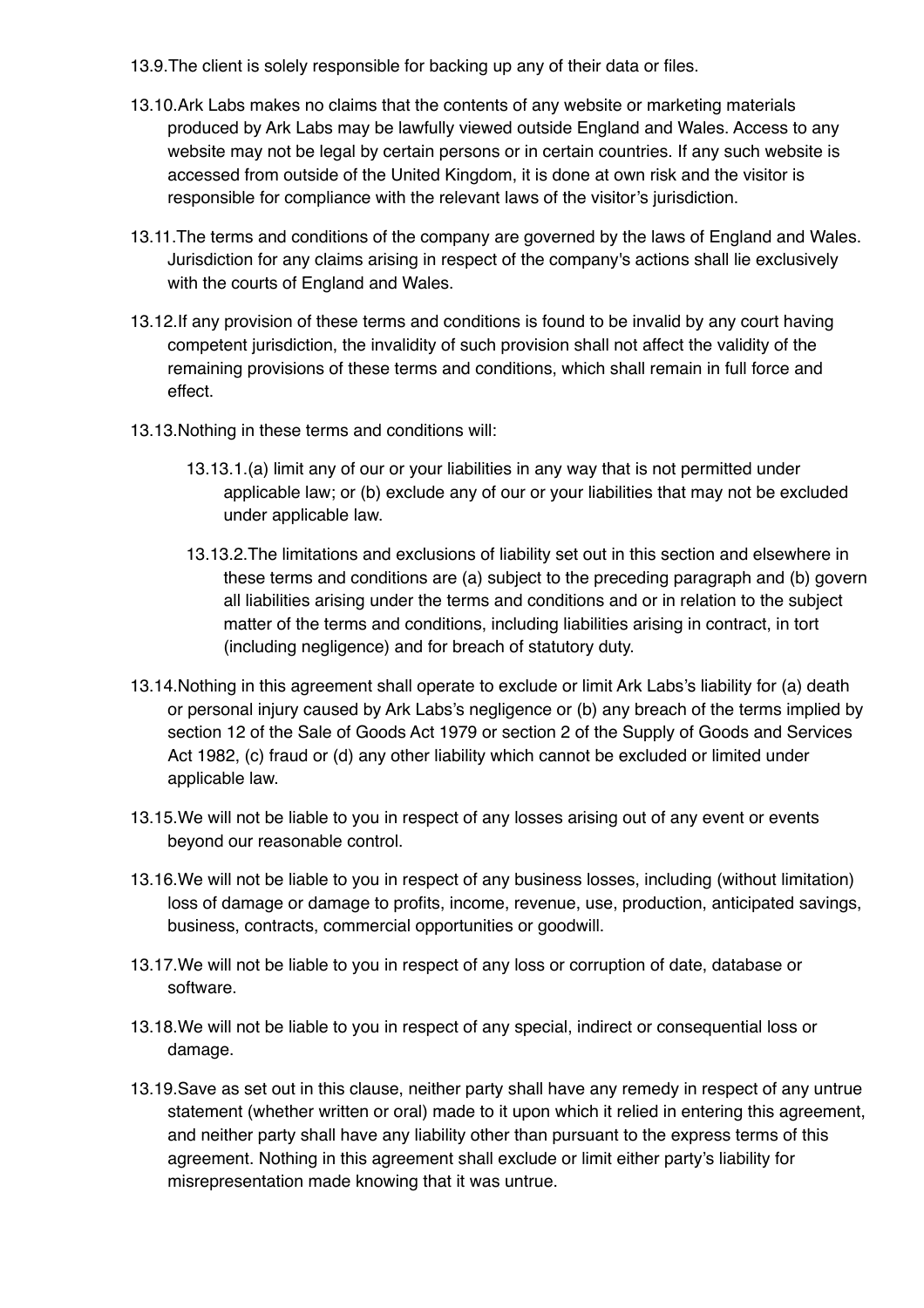- 13.9.The client is solely responsible for backing up any of their data or files.
- 13.10.Ark Labs makes no claims that the contents of any website or marketing materials produced by Ark Labs may be lawfully viewed outside England and Wales. Access to any website may not be legal by certain persons or in certain countries. If any such website is accessed from outside of the United Kingdom, it is done at own risk and the visitor is responsible for compliance with the relevant laws of the visitor's jurisdiction.
- 13.11.The terms and conditions of the company are governed by the laws of England and Wales. Jurisdiction for any claims arising in respect of the company's actions shall lie exclusively with the courts of England and Wales.
- 13.12.If any provision of these terms and conditions is found to be invalid by any court having competent jurisdiction, the invalidity of such provision shall not affect the validity of the remaining provisions of these terms and conditions, which shall remain in full force and effect.
- 13.13.Nothing in these terms and conditions will:
	- 13.13.1.(a) limit any of our or your liabilities in any way that is not permitted under applicable law; or (b) exclude any of our or your liabilities that may not be excluded under applicable law.
	- 13.13.2.The limitations and exclusions of liability set out in this section and elsewhere in these terms and conditions are (a) subject to the preceding paragraph and (b) govern all liabilities arising under the terms and conditions and or in relation to the subject matter of the terms and conditions, including liabilities arising in contract, in tort (including negligence) and for breach of statutory duty.
- 13.14.Nothing in this agreement shall operate to exclude or limit Ark Labs's liability for (a) death or personal injury caused by Ark Labs's negligence or (b) any breach of the terms implied by section 12 of the Sale of Goods Act 1979 or section 2 of the Supply of Goods and Services Act 1982, (c) fraud or (d) any other liability which cannot be excluded or limited under applicable law.
- 13.15.We will not be liable to you in respect of any losses arising out of any event or events beyond our reasonable control.
- 13.16.We will not be liable to you in respect of any business losses, including (without limitation) loss of damage or damage to profits, income, revenue, use, production, anticipated savings, business, contracts, commercial opportunities or goodwill.
- 13.17.We will not be liable to you in respect of any loss or corruption of date, database or software.
- 13.18.We will not be liable to you in respect of any special, indirect or consequential loss or damage.
- 13.19.Save as set out in this clause, neither party shall have any remedy in respect of any untrue statement (whether written or oral) made to it upon which it relied in entering this agreement, and neither party shall have any liability other than pursuant to the express terms of this agreement. Nothing in this agreement shall exclude or limit either party's liability for misrepresentation made knowing that it was untrue.